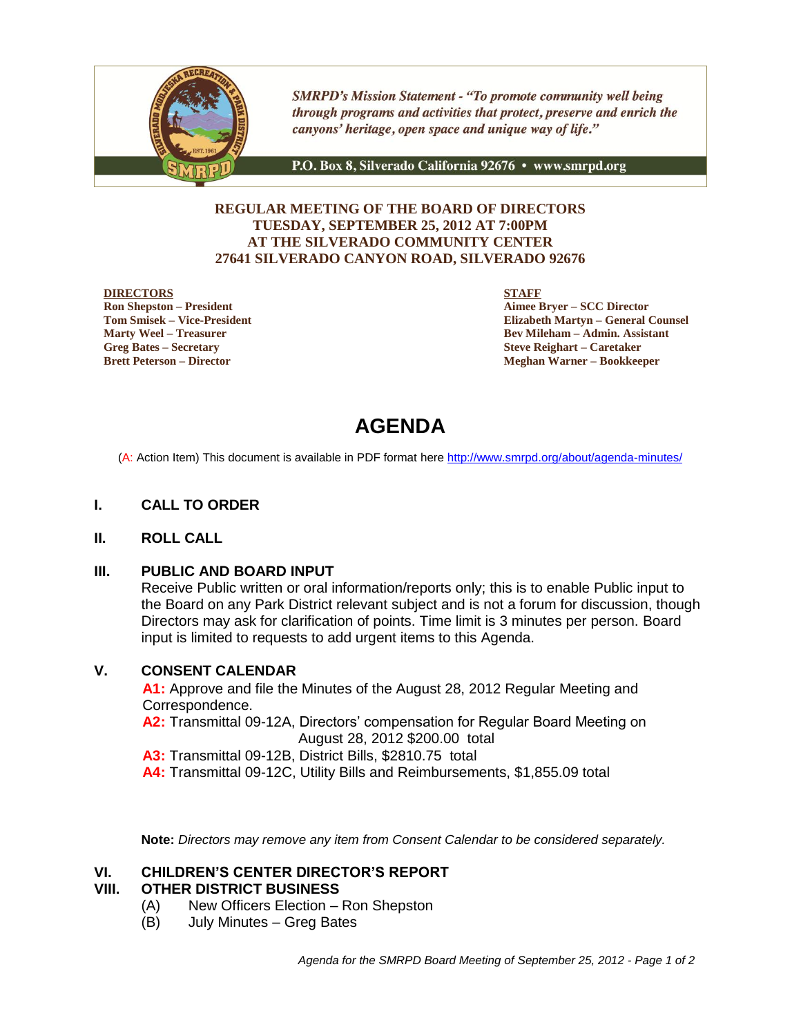

**SMRPD's Mission Statement - "To promote community well being** through programs and activities that protect, preserve and enrich the canyons' heritage, open space and unique way of life."

P.O. Box 8, Silverado California 92676 · www.smrpd.org

# **REGULAR MEETING OF THE BOARD OF DIRECTORS TUESDAY, SEPTEMBER 25, 2012 AT 7:00PM AT THE SILVERADO COMMUNITY CENTER 27641 SILVERADO CANYON ROAD, SILVERADO 92676**

#### **DIRECTORS**

**Ron Shepston – President Tom Smisek – Vice-President Marty Weel – Treasurer Greg Bates – Secretary Brett Peterson – Director**

**STAFF**

**Aimee Bryer – SCC Director Elizabeth Martyn – General Counsel Bev Mileham – Admin. Assistant Steve Reighart – Caretaker Meghan Warner – Bookkeeper**

# **AGENDA**

(A: Action Item) This document is available in PDF format here <http://www.smrpd.org/>about/agenda-minutes/

# **I. CALL TO ORDER**

### **II. ROLL CALL**

### **III. PUBLIC AND BOARD INPUT**

Receive Public written or oral information/reports only; this is to enable Public input to the Board on any Park District relevant subject and is not a forum for discussion, though Directors may ask for clarification of points. Time limit is 3 minutes per person. Board input is limited to requests to add urgent items to this Agenda.

### **V. CONSENT CALENDAR**

**A1:** Approve and file the Minutes of the August 28, 2012 Regular Meeting and Correspondence.

**A2:** Transmittal 09-12A, Directors' compensation for Regular Board Meeting on August 28, 2012 \$200.00 total

**A3:** Transmittal 09-12B, District Bills, \$2810.75 total

**A4:** Transmittal 09-12C, Utility Bills and Reimbursements, \$1,855.09 total

**Note:** *Directors may remove any item from Consent Calendar to be considered separately.*

### **VI. CHILDREN'S CENTER DIRECTOR'S REPORT**

### **VIII. OTHER DISTRICT BUSINESS**

- (A) New Officers Election Ron Shepston
- (B) July Minutes Greg Bates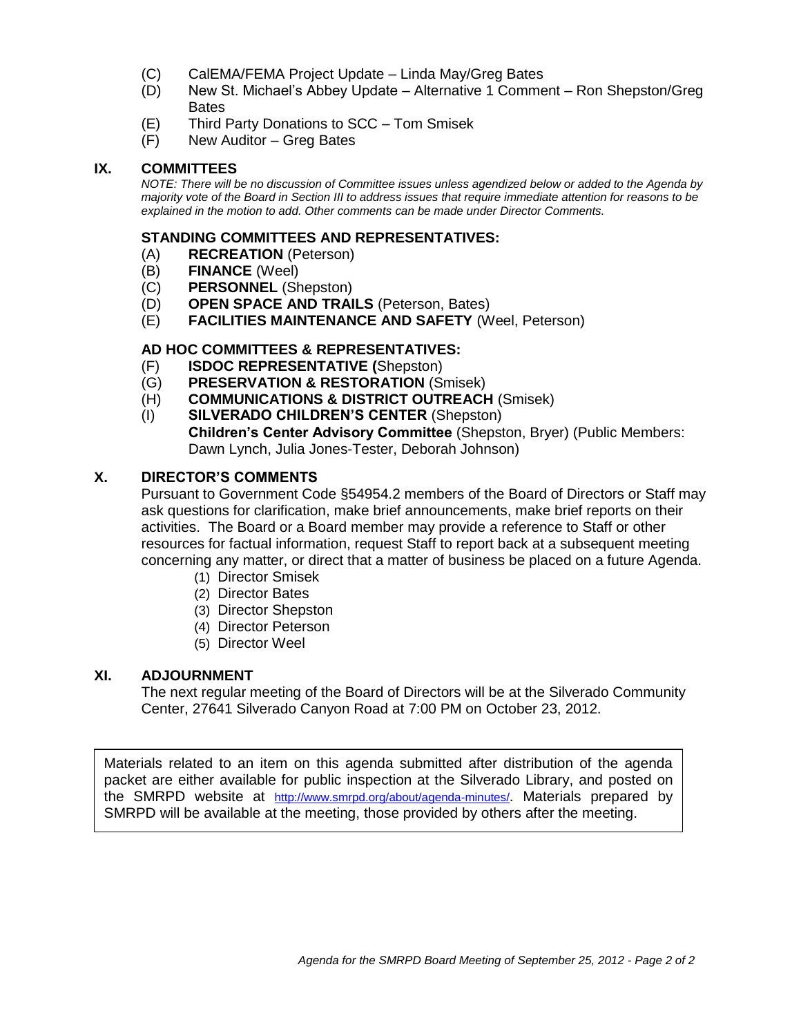- (C) CalEMA/FEMA Project Update Linda May/Greg Bates
- (D) New St. Michael's Abbey Update Alternative 1 Comment Ron Shepston/Greg **Bates**
- (E) Third Party Donations to SCC Tom Smisek
- (F) New Auditor Greg Bates

# **IX. COMMITTEES**

*NOTE: There will be no discussion of Committee issues unless agendized below or added to the Agenda by majority vote of the Board in Section III to address issues that require immediate attention for reasons to be explained in the motion to add. Other comments can be made under Director Comments.*

### **STANDING COMMITTEES AND REPRESENTATIVES:**

- (A) **RECREATION** (Peterson)
- (B) **FINANCE** (Weel)
- (C) **PERSONNEL** (Shepston)
- (D) **OPEN SPACE AND TRAILS** (Peterson, Bates)
- (E) **FACILITIES MAINTENANCE AND SAFETY** (Weel, Peterson)

# **AD HOC COMMITTEES & REPRESENTATIVES:**

- (F) **ISDOC REPRESENTATIVE (**Shepston)
- (G) **PRESERVATION & RESTORATION** (Smisek)
- (H) **COMMUNICATIONS & DISTRICT OUTREACH** (Smisek)
- (I) **SILVERADO CHILDREN'S CENTER** (Shepston) **Children's Center Advisory Committee** (Shepston, Bryer) (Public Members: Dawn Lynch, Julia Jones-Tester, Deborah Johnson)

# **X. DIRECTOR'S COMMENTS**

Pursuant to Government Code §54954.2 members of the Board of Directors or Staff may ask questions for clarification, make brief announcements, make brief reports on their activities. The Board or a Board member may provide a reference to Staff or other resources for factual information, request Staff to report back at a subsequent meeting concerning any matter, or direct that a matter of business be placed on a future Agenda.

- (1) Director Smisek
- (2) Director Bates
- (3) Director Shepston
- (4) Director Peterson
- (5) Director Weel

# **XI. ADJOURNMENT**

The next regular meeting of the Board of Directors will be at the Silverado Community Center, 27641 Silverado Canyon Road at 7:00 PM on October 23, 2012.

Materials related to an item on this agenda submitted after distribution of the agenda packet are either available for public inspection at the Silverado Library, and posted on the SMRPD website at <http://www.smrpd.org/>about/agenda-minutes/. Materials prepared by SMRPD will be available at the meeting, those provided by others after the meeting.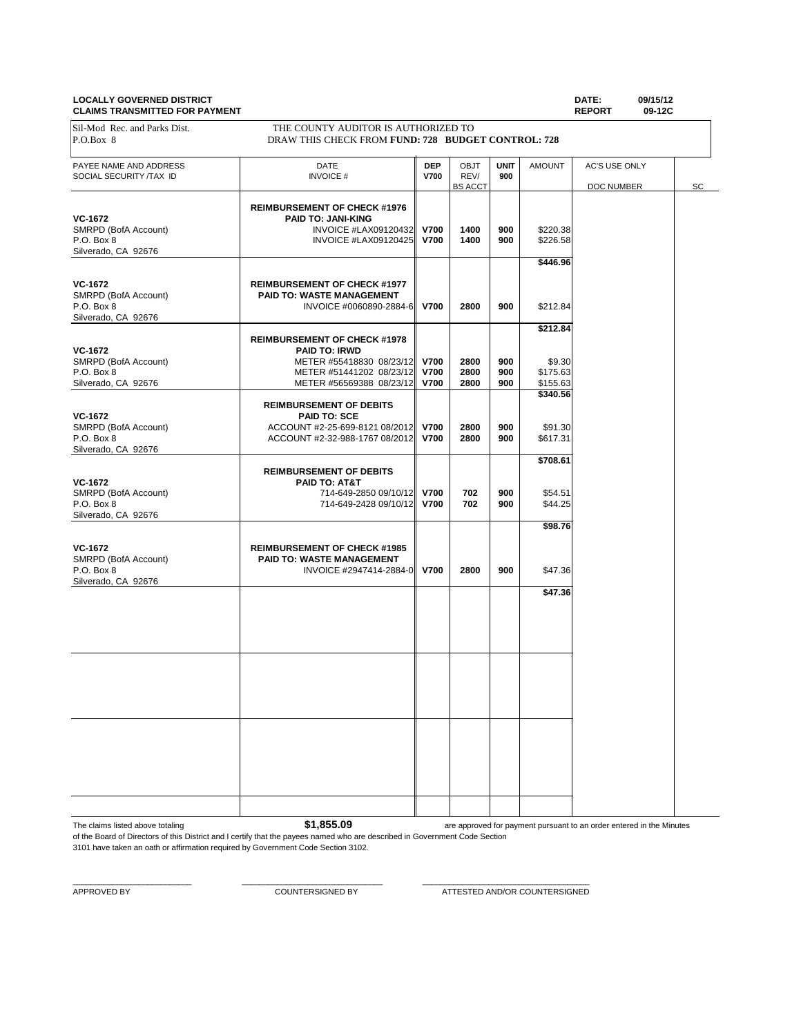#### **LOCALLY GOVERNED DISTRICT DATE: 09/15/12 CLAIMS TRANSMITTED FOR PAYMENT REPORT 09-12C**

| <b>CLAIMS INANSMITTED FON FATMENT</b>             |                                                                                           |                            |                                |                    |                      | <b>NEFUNI</b>               | <b>05-146</b> |
|---------------------------------------------------|-------------------------------------------------------------------------------------------|----------------------------|--------------------------------|--------------------|----------------------|-----------------------------|---------------|
| Sil-Mod Rec. and Parks Dist.<br>P.O.Box 8         | THE COUNTY AUDITOR IS AUTHORIZED TO<br>DRAW THIS CHECK FROM FUND: 728 BUDGET CONTROL: 728 |                            |                                |                    |                      |                             |               |
| PAYEE NAME AND ADDRESS<br>SOCIAL SECURITY /TAX ID | DATE<br><b>INVOICE#</b>                                                                   | <b>DEP</b><br><b>V700</b>  | OBJT<br>REV/<br><b>BS ACCT</b> | <b>UNIT</b><br>900 | <b>AMOUNT</b>        | AC'S USE ONLY<br>DOC NUMBER | SC            |
|                                                   |                                                                                           |                            |                                |                    |                      |                             |               |
|                                                   | <b>REIMBURSEMENT OF CHECK #1976</b>                                                       |                            |                                |                    |                      |                             |               |
| VC-1672                                           | <b>PAID TO: JANI-KING</b>                                                                 |                            |                                |                    |                      |                             |               |
| SMRPD (BofA Account)                              | INVOICE #LAX09120432                                                                      | <b>V700</b>                | 1400                           | 900                | \$220.38             |                             |               |
| P.O. Box 8                                        | INVOICE #LAX09120425                                                                      | <b>V700</b>                | 1400                           | 900                | \$226.58             |                             |               |
| Silverado, CA 92676                               |                                                                                           |                            |                                |                    |                      |                             |               |
|                                                   |                                                                                           |                            |                                |                    | \$446.96             |                             |               |
| <b>VC-1672</b>                                    | <b>REIMBURSEMENT OF CHECK #1977</b>                                                       |                            |                                |                    |                      |                             |               |
| SMRPD (BofA Account)                              | PAID TO: WASTE MANAGEMENT                                                                 |                            |                                |                    |                      |                             |               |
| P.O. Box 8                                        | INVOICE #0060890-2884-6                                                                   | <b>V700</b>                | 2800                           | 900                | \$212.84             |                             |               |
| Silverado, CA 92676                               |                                                                                           |                            |                                |                    |                      |                             |               |
|                                                   |                                                                                           |                            |                                |                    | \$212.84             |                             |               |
|                                                   | <b>REIMBURSEMENT OF CHECK #1978</b>                                                       |                            |                                |                    |                      |                             |               |
| VC-1672                                           | <b>PAID TO: IRWD</b>                                                                      |                            |                                |                    |                      |                             |               |
| SMRPD (BofA Account)                              | METER #55418830 08/23/12 V700                                                             |                            | 2800                           | 900<br>900         | \$9.30               |                             |               |
| P.O. Box 8<br>Silverado, CA 92676                 | METER #51441202 08/23/12<br>METER #56569388 08/23/12                                      | <b>V700</b><br><b>V700</b> | 2800<br>2800                   | 900                | \$175.63<br>\$155.63 |                             |               |
|                                                   |                                                                                           |                            |                                |                    | \$340.56             |                             |               |
|                                                   | <b>REIMBURSEMENT OF DEBITS</b>                                                            |                            |                                |                    |                      |                             |               |
| <b>VC-1672</b>                                    | <b>PAID TO: SCE</b>                                                                       |                            |                                |                    |                      |                             |               |
| SMRPD (BofA Account)                              | ACCOUNT #2-25-699-8121 08/2012                                                            | <b>V700</b>                | 2800                           | 900                | \$91.30              |                             |               |
| P.O. Box 8                                        | ACCOUNT #2-32-988-1767 08/2012                                                            | <b>V700</b>                | 2800                           | 900                | \$617.31             |                             |               |
| Silverado, CA 92676                               |                                                                                           |                            |                                |                    |                      |                             |               |
|                                                   |                                                                                           |                            |                                |                    | \$708.61             |                             |               |
|                                                   | <b>REIMBURSEMENT OF DEBITS</b>                                                            |                            |                                |                    |                      |                             |               |
| VC-1672                                           | PAID TO: AT&T                                                                             |                            |                                |                    |                      |                             |               |
| SMRPD (BofA Account)<br>P.O. Box 8                | 714-649-2850 09/10/12                                                                     | <b>V700</b><br><b>V700</b> | 702<br>702                     | 900<br>900         | \$54.51<br>\$44.25   |                             |               |
| Silverado, CA 92676                               | 714-649-2428 09/10/12                                                                     |                            |                                |                    |                      |                             |               |
|                                                   |                                                                                           |                            |                                |                    | \$98.76              |                             |               |
|                                                   |                                                                                           |                            |                                |                    |                      |                             |               |
| VC-1672                                           | <b>REIMBURSEMENT OF CHECK #1985</b>                                                       |                            |                                |                    |                      |                             |               |
| SMRPD (BofA Account)                              | PAID TO: WASTE MANAGEMENT                                                                 |                            |                                |                    |                      |                             |               |
| P.O. Box 8                                        | INVOICE #2947414-2884-0                                                                   | <b>V700</b>                | 2800                           | 900                | \$47.36              |                             |               |
| Silverado, CA 92676                               |                                                                                           |                            |                                |                    |                      |                             |               |
|                                                   |                                                                                           |                            |                                |                    | \$47.36              |                             |               |
|                                                   |                                                                                           |                            |                                |                    |                      |                             |               |
|                                                   |                                                                                           |                            |                                |                    |                      |                             |               |
|                                                   |                                                                                           |                            |                                |                    |                      |                             |               |
|                                                   |                                                                                           |                            |                                |                    |                      |                             |               |
|                                                   |                                                                                           |                            |                                |                    |                      |                             |               |
|                                                   |                                                                                           |                            |                                |                    |                      |                             |               |
|                                                   |                                                                                           |                            |                                |                    |                      |                             |               |
|                                                   |                                                                                           |                            |                                |                    |                      |                             |               |
|                                                   |                                                                                           |                            |                                |                    |                      |                             |               |
|                                                   |                                                                                           |                            |                                |                    |                      |                             |               |
|                                                   |                                                                                           |                            |                                |                    |                      |                             |               |
|                                                   |                                                                                           |                            |                                |                    |                      |                             |               |
|                                                   |                                                                                           |                            |                                |                    |                      |                             |               |
|                                                   |                                                                                           |                            |                                |                    |                      |                             |               |
|                                                   |                                                                                           |                            |                                |                    |                      |                             |               |
|                                                   |                                                                                           |                            |                                |                    |                      |                             |               |
|                                                   |                                                                                           |                            |                                |                    |                      |                             |               |
|                                                   |                                                                                           |                            |                                |                    |                      |                             |               |

The claims listed above totaling **\$1,855.09** 

are approved for payment pursuant to an order entered in the Minutes

of the Board of Directors of this District and I certify that the payees named who are described in Government Code Section 3101 have taken an oath or affirmation required by Government Code Section 3102.

 $\_$  , and the set of the set of the set of the set of the set of the set of the set of the set of the set of the set of the set of the set of the set of the set of the set of the set of the set of the set of the set of th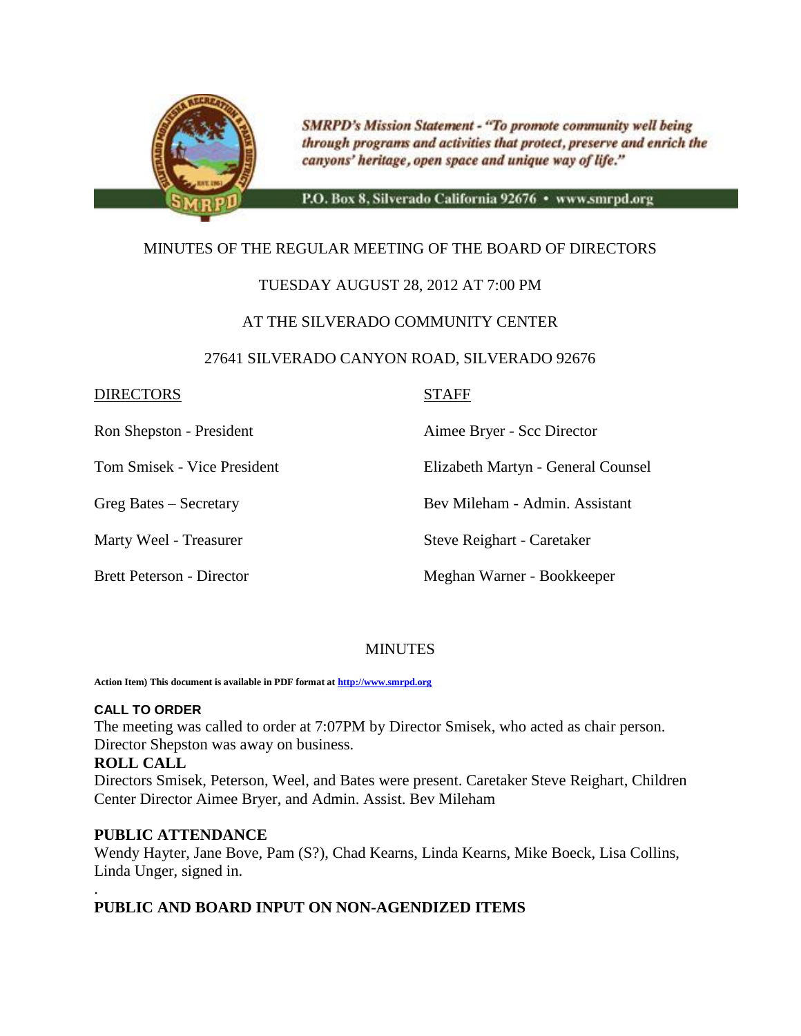

**SMRPD's Mission Statement - "To promote community well being** through programs and activities that protect, preserve and enrich the canyons' heritage, open space and unique way of life."

P.O. Box 8, Silverado California 92676 · www.smrpd.org

# MINUTES OF THE REGULAR MEETING OF THE BOARD OF DIRECTORS

# TUESDAY AUGUST 28, 2012 AT 7:00 PM

# AT THE SILVERADO COMMUNITY CENTER

# 27641 SILVERADO CANYON ROAD, SILVERADO 92676

# DIRECTORS STAFF

Ron Shepston - President Aimee Bryer - Scc Director

Tom Smisek - Vice President Elizabeth Martyn - General Counsel

Greg Bates – Secretary Bev Mileham - Admin. Assistant

Marty Weel - Treasurer Steve Reighart - Caretaker

Brett Peterson - Director Meghan Warner - Bookkeeper

# **MINUTES**

**Action Item) This document is available in PDF format a[t http://www.smrpd.org](http://www.smrpd.org/)**

### **CALL TO ORDER**

The meeting was called to order at 7:07PM by Director Smisek, who acted as chair person. Director Shepston was away on business.

# **ROLL CALL**

Directors Smisek, Peterson, Weel, and Bates were present. Caretaker Steve Reighart, Children Center Director Aimee Bryer, and Admin. Assist. Bev Mileham

# **PUBLIC ATTENDANCE**

Wendy Hayter, Jane Bove, Pam (S?), Chad Kearns, Linda Kearns, Mike Boeck, Lisa Collins, Linda Unger, signed in.

# . **PUBLIC AND BOARD INPUT ON NON-AGENDIZED ITEMS**